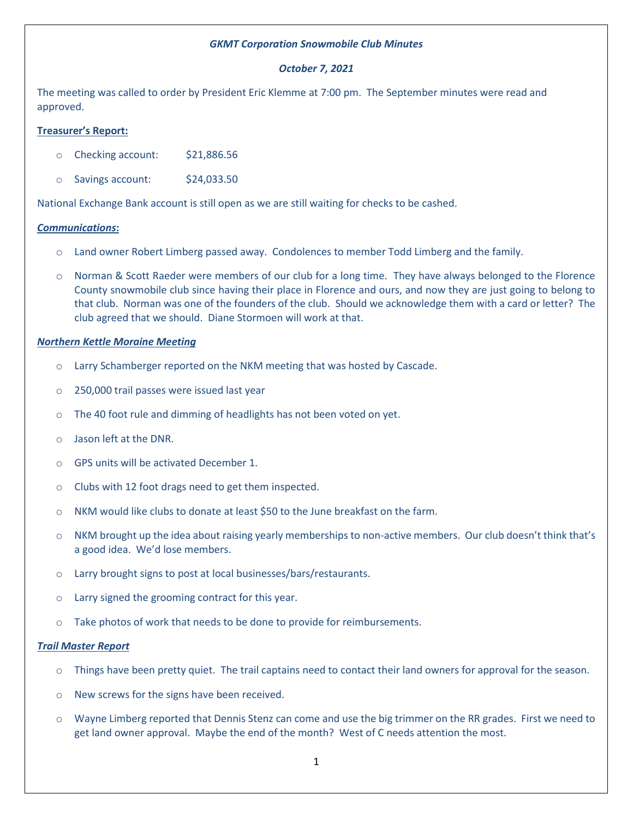# *GKMT Corporation Snowmobile Club Minutes*

# *October 7, 2021*

The meeting was called to order by President Eric Klemme at 7:00 pm. The September minutes were read and approved.

# **Treasurer's Report:**

- o Checking account: \$21,886.56
- o Savings account: \$24,033.50

National Exchange Bank account is still open as we are still waiting for checks to be cashed.

### *Communications***:**

- o Land owner Robert Limberg passed away. Condolences to member Todd Limberg and the family.
- o Norman & Scott Raeder were members of our club for a long time. They have always belonged to the Florence County snowmobile club since having their place in Florence and ours, and now they are just going to belong to that club. Norman was one of the founders of the club. Should we acknowledge them with a card or letter? The club agreed that we should. Diane Stormoen will work at that.

### *Northern Kettle Moraine Meeting*

- o Larry Schamberger reported on the NKM meeting that was hosted by Cascade.
- o 250,000 trail passes were issued last year
- o The 40 foot rule and dimming of headlights has not been voted on yet.
- o Jason left at the DNR.
- o GPS units will be activated December 1.
- o Clubs with 12 foot drags need to get them inspected.
- o NKM would like clubs to donate at least \$50 to the June breakfast on the farm.
- $\circ$  NKM brought up the idea about raising yearly memberships to non-active members. Our club doesn't think that's a good idea. We'd lose members.
- o Larry brought signs to post at local businesses/bars/restaurants.
- o Larry signed the grooming contract for this year.
- $\circ$  Take photos of work that needs to be done to provide for reimbursements.

### *Trail Master Report*

- o Things have been pretty quiet. The trail captains need to contact their land owners for approval for the season.
- o New screws for the signs have been received.
- o Wayne Limberg reported that Dennis Stenz can come and use the big trimmer on the RR grades. First we need to get land owner approval. Maybe the end of the month? West of C needs attention the most.